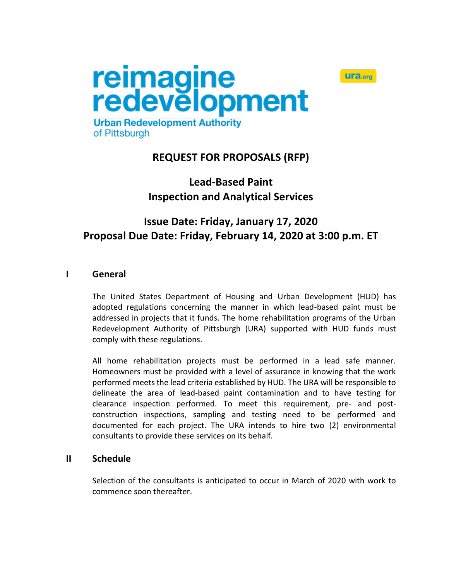



# **REQUEST FOR PROPOSALS (RFP)**

# **Lead-Based Paint Inspection and Analytical Services**

# **Issue Date: Friday, January 17, 2020 Proposal Due Date: Friday, February 14, 2020 at 3:00 p.m. ET**

#### **I General**

The United States Department of Housing and Urban Development (HUD) has adopted regulations concerning the manner in which lead-based paint must be addressed in projects that it funds. The home rehabilitation programs of the Urban Redevelopment Authority of Pittsburgh (URA) supported with HUD funds must comply with these regulations.

All home rehabilitation projects must be performed in a lead safe manner. Homeowners must be provided with a level of assurance in knowing that the work performed meets the lead criteria established by HUD. The URA will be responsible to delineate the area of lead-based paint contamination and to have testing for clearance inspection performed. To meet this requirement, pre- and postconstruction inspections, sampling and testing need to be performed and documented for each project. The URA intends to hire two (2) environmental consultants to provide these services on its behalf.

#### **II Schedule**

Selection of the consultants is anticipated to occur in March of 2020 with work to commence soon thereafter.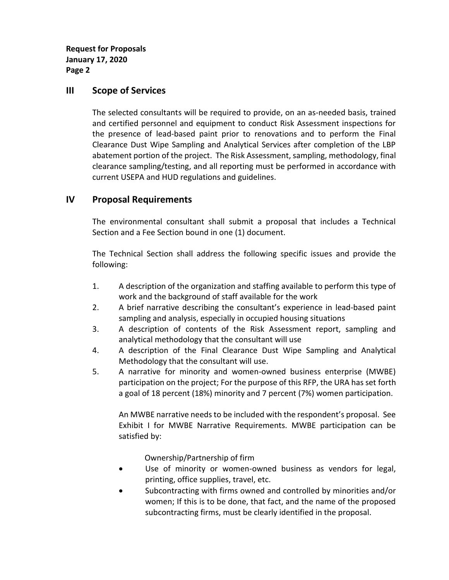## **III Scope of Services**

The selected consultants will be required to provide, on an as-needed basis, trained and certified personnel and equipment to conduct Risk Assessment inspections for the presence of lead-based paint prior to renovations and to perform the Final Clearance Dust Wipe Sampling and Analytical Services after completion of the LBP abatement portion of the project. The Risk Assessment, sampling, methodology, final clearance sampling/testing, and all reporting must be performed in accordance with current USEPA and HUD regulations and guidelines.

## **IV Proposal Requirements**

The environmental consultant shall submit a proposal that includes a Technical Section and a Fee Section bound in one (1) document.

The Technical Section shall address the following specific issues and provide the following:

- 1. A description of the organization and staffing available to perform this type of work and the background of staff available for the work
- 2. A brief narrative describing the consultant's experience in lead-based paint sampling and analysis, especially in occupied housing situations
- 3. A description of contents of the Risk Assessment report, sampling and analytical methodology that the consultant will use
- 4. A description of the Final Clearance Dust Wipe Sampling and Analytical Methodology that the consultant will use.
- 5. A narrative for minority and women-owned business enterprise (MWBE) participation on the project; For the purpose of this RFP, the URA has set forth a goal of 18 percent (18%) minority and 7 percent (7%) women participation.

An MWBE narrative needs to be included with the respondent's proposal. See Exhibit I for MWBE Narrative Requirements. MWBE participation can be satisfied by:

Ownership/Partnership of firm

- Use of minority or women-owned business as vendors for legal, printing, office supplies, travel, etc.
- Subcontracting with firms owned and controlled by minorities and/or women; If this is to be done, that fact, and the name of the proposed subcontracting firms, must be clearly identified in the proposal.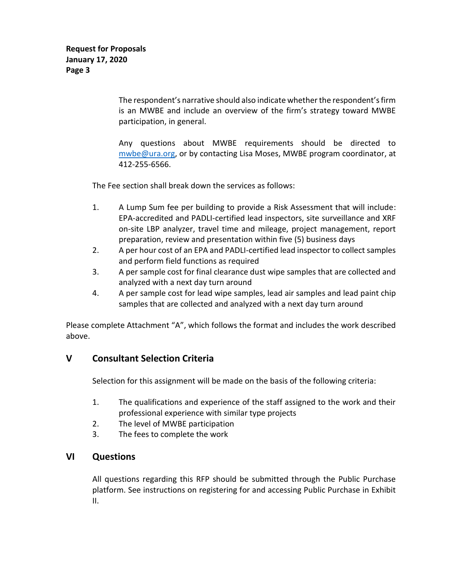The respondent's narrative should also indicate whether the respondent's firm is an MWBE and include an overview of the firm's strategy toward MWBE participation, in general.

Any questions about MWBE requirements should be directed to [mwbe@ura.org,](mailto:mwbe@ura.org) or by contacting Lisa Moses, MWBE program coordinator, at 412-255-6566.

The Fee section shall break down the services as follows:

- 1. A Lump Sum fee per building to provide a Risk Assessment that will include: EPA-accredited and PADLI-certified lead inspectors, site surveillance and XRF on-site LBP analyzer, travel time and mileage, project management, report preparation, review and presentation within five (5) business days
- 2. A per hour cost of an EPA and PADLI-certified lead inspector to collect samples and perform field functions as required
- 3. A per sample cost for final clearance dust wipe samples that are collected and analyzed with a next day turn around
- 4. A per sample cost for lead wipe samples, lead air samples and lead paint chip samples that are collected and analyzed with a next day turn around

Please complete Attachment "A", which follows the format and includes the work described above.

# **V Consultant Selection Criteria**

Selection for this assignment will be made on the basis of the following criteria:

- 1. The qualifications and experience of the staff assigned to the work and their professional experience with similar type projects
- 2. The level of MWBE participation
- 3. The fees to complete the work

# **VI Questions**

All questions regarding this RFP should be submitted through the Public Purchase platform. See instructions on registering for and accessing Public Purchase in Exhibit II.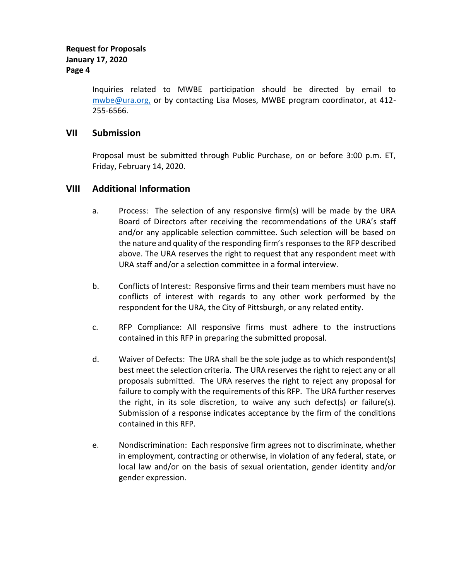Inquiries related to MWBE participation should be directed by email to [mwbe@ura.org,](mailto:mwbe@ura.org) or by contacting Lisa Moses, MWBE program coordinator, at 412- 255-6566.

## **VII Submission**

Proposal must be submitted through Public Purchase, on or before 3:00 p.m. ET, Friday, February 14, 2020.

# **VIII Additional Information**

- a. Process: The selection of any responsive firm(s) will be made by the URA Board of Directors after receiving the recommendations of the URA's staff and/or any applicable selection committee. Such selection will be based on the nature and quality of the responding firm's responses to the RFP described above. The URA reserves the right to request that any respondent meet with URA staff and/or a selection committee in a formal interview.
- b. Conflicts of Interest: Responsive firms and their team members must have no conflicts of interest with regards to any other work performed by the respondent for the URA, the City of Pittsburgh, or any related entity.
- c. RFP Compliance: All responsive firms must adhere to the instructions contained in this RFP in preparing the submitted proposal.
- d. Waiver of Defects: The URA shall be the sole judge as to which respondent(s) best meet the selection criteria. The URA reserves the right to reject any or all proposals submitted. The URA reserves the right to reject any proposal for failure to comply with the requirements of this RFP. The URA further reserves the right, in its sole discretion, to waive any such defect(s) or failure(s). Submission of a response indicates acceptance by the firm of the conditions contained in this RFP.
- e. Nondiscrimination: Each responsive firm agrees not to discriminate, whether in employment, contracting or otherwise, in violation of any federal, state, or local law and/or on the basis of sexual orientation, gender identity and/or gender expression.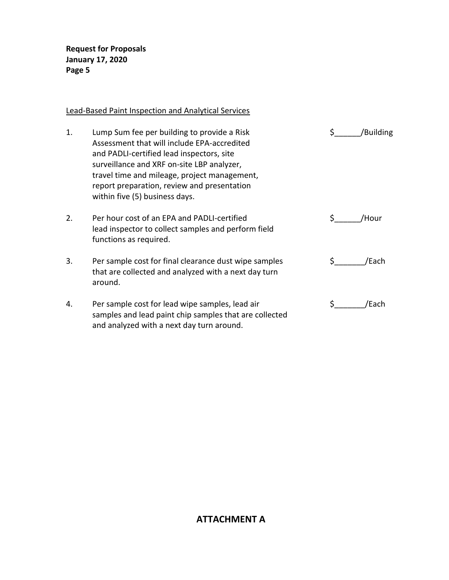## Lead-Based Paint Inspection and Analytical Services

| 1. | Lump Sum fee per building to provide a Risk<br>Assessment that will include EPA-accredited<br>and PADLI-certified lead inspectors, site<br>surveillance and XRF on-site LBP analyzer,<br>travel time and mileage, project management,<br>report preparation, review and presentation<br>within five (5) business days. | \$<br>/Building |
|----|------------------------------------------------------------------------------------------------------------------------------------------------------------------------------------------------------------------------------------------------------------------------------------------------------------------------|-----------------|
| 2. | Per hour cost of an EPA and PADLI-certified<br>lead inspector to collect samples and perform field<br>functions as required.                                                                                                                                                                                           | \$<br>/Hour     |
| 3. | Per sample cost for final clearance dust wipe samples<br>that are collected and analyzed with a next day turn<br>around.                                                                                                                                                                                               | /Each           |
| 4. | Per sample cost for lead wipe samples, lead air<br>samples and lead paint chip samples that are collected<br>and analyzed with a next day turn around.                                                                                                                                                                 | /Each           |

# **ATTACHMENT A**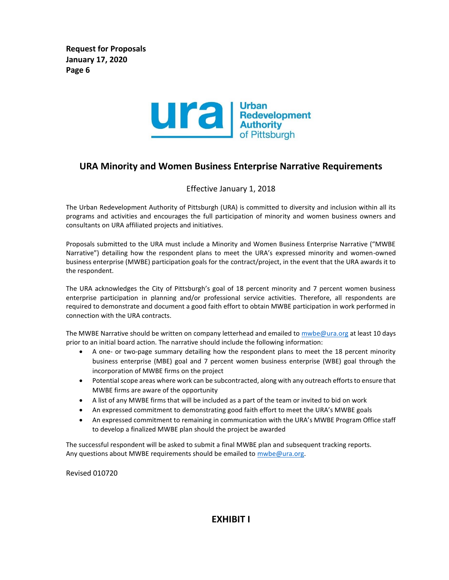

# **URA Minority and Women Business Enterprise Narrative Requirements**

#### Effective January 1, 2018

The Urban Redevelopment Authority of Pittsburgh (URA) is committed to diversity and inclusion within all its programs and activities and encourages the full participation of minority and women business owners and consultants on URA affiliated projects and initiatives.

Proposals submitted to the URA must include a Minority and Women Business Enterprise Narrative ("MWBE Narrative") detailing how the respondent plans to meet the URA's expressed minority and women-owned business enterprise (MWBE) participation goals for the contract/project, in the event that the URA awards it to the respondent.

The URA acknowledges the City of Pittsburgh's goal of 18 percent minority and 7 percent women business enterprise participation in planning and/or professional service activities. Therefore, all respondents are required to demonstrate and document a good faith effort to obtain MWBE participation in work performed in connection with the URA contracts.

The MWBE Narrative should be written on company letterhead and emailed to [mwbe@ura.org](mailto:mwbe@ura.org) at least 10 days prior to an initial board action. The narrative should include the following information:

- A one- or two-page summary detailing how the respondent plans to meet the 18 percent minority business enterprise (MBE) goal and 7 percent women business enterprise (WBE) goal through the incorporation of MWBE firms on the project
- Potential scope areas where work can be subcontracted, along with any outreach efforts to ensure that MWBE firms are aware of the opportunity
- A list of any MWBE firms that will be included as a part of the team or invited to bid on work
- An expressed commitment to demonstrating good faith effort to meet the URA's MWBE goals
- An expressed commitment to remaining in communication with the URA's MWBE Program Office staff to develop a finalized MWBE plan should the project be awarded

The successful respondent will be asked to submit a final MWBE plan and subsequent tracking reports. Any questions about MWBE requirements should be emailed to [mwbe@ura.org.](mailto:mwbe@ura.org)

Revised 010720

### **EXHIBIT I**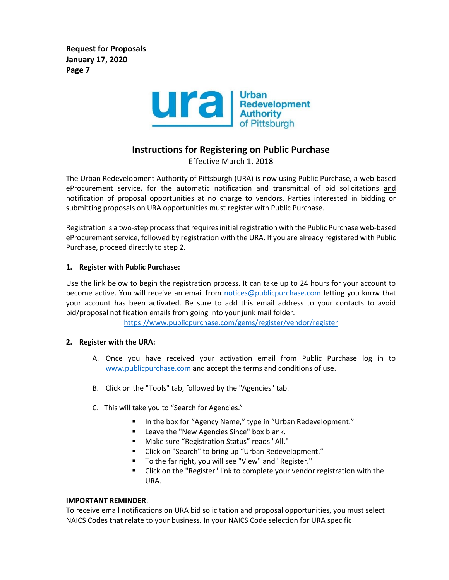

# **Instructions for Registering on Public Purchase**

Effective March 1, 2018

The Urban Redevelopment Authority of Pittsburgh (URA) is now using Public Purchase, a web-based eProcurement service, for the automatic notification and transmittal of bid solicitations and notification of proposal opportunities at no charge to vendors. Parties interested in bidding or submitting proposals on URA opportunities must register with Public Purchase.

Registration is a two-step process that requires initial registration with the Public Purchase web-based eProcurement service, followed by registration with the URA. If you are already registered with Public Purchase, proceed directly to step 2.

#### **1. Register with Public Purchase:**

Use the link below to begin the registration process. It can take up to 24 hours for your account to become active. You will receive an email from [notices@publicpurchase.com](mailto:notices@publicpurchase.com) letting you know that your account has been activated. Be sure to add this email address to your contacts to avoid bid/proposal notification emails from going into your junk mail folder.

<https://www.publicpurchase.com/gems/register/vendor/register>

#### **2. Register with the URA:**

- A. Once you have received your activation email from Public Purchase log in to [www.publicpurchase.com](http://www.publicpurchase.com/) and accept the terms and conditions of use.
- B. Click on the "Tools" tab, followed by the "Agencies" tab.
- C. This will take you to "Search for Agencies."
	- In the box for "Agency Name," type in "Urban Redevelopment."
	- Leave the "New Agencies Since" box blank.
	- Make sure "Registration Status" reads "All."
	- Click on "Search" to bring up "Urban Redevelopment."
	- To the far right, you will see "View" and "Register."
	- Click on the "Register" link to complete your vendor registration with the URA.

#### **IMPORTANT REMINDER**:

To receive email notifications on URA bid solicitation and proposal opportunities, you must select NAICS Codes that relate to your business. In your NAICS Code selection for URA specific